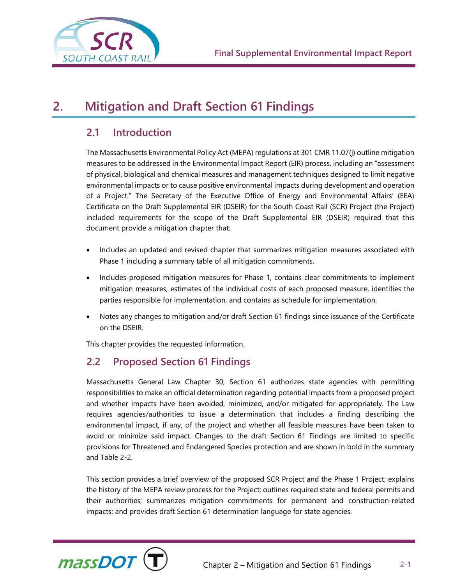

# **2. Mitigation and Draft Section 61 Findings**

# **2.1 Introduction**

The Massachusetts Environmental Policy Act (MEPA) regulations at 301 CMR 11.07(j) outline mitigation measures to be addressed in the Environmental Impact Report (EIR) process, including an "assessment of physical, biological and chemical measures and management techniques designed to limit negative environmental impacts or to cause positive environmental impacts during development and operation of a Project." The Secretary of the Executive Office of Energy and Environmental Affairs' (EEA) Certificate on the Draft Supplemental EIR (DSEIR) for the South Coast Rail (SCR) Project (the Project) included requirements for the scope of the Draft Supplemental EIR (DSEIR) required that this document provide a mitigation chapter that:

- Includes an updated and revised chapter that summarizes mitigation measures associated with Phase 1 including a summary table of all mitigation commitments.
- Includes proposed mitigation measures for Phase 1, contains clear commitments to implement mitigation measures, estimates of the individual costs of each proposed measure, identifies the parties responsible for implementation, and contains as schedule for implementation.
- Notes any changes to mitigation and/or draft Section 61 findings since issuance of the Certificate on the DSEIR.

This chapter provides the requested information.

# **2.2 Proposed Section 61 Findings**

Massachusetts General Law Chapter 30, Section 61 authorizes state agencies with permitting responsibilities to make an official determination regarding potential impacts from a proposed project and whether impacts have been avoided, minimized, and/or mitigated for appropriately. The Law requires agencies/authorities to issue a determination that includes a finding describing the environmental impact, if any, of the project and whether all feasible measures have been taken to avoid or minimize said impact. Changes to the draft Section 61 Findings are limited to specific provisions for Threatened and Endangered Species protection and are shown in bold in the summary and Table 2-2.

This section provides a brief overview of the proposed SCR Project and the Phase 1 Project; explains the history of the MEPA review process for the Project; outlines required state and federal permits and their authorities; summarizes mitigation commitments for permanent and construction-related impacts; and provides draft Section 61 determination language for state agencies.

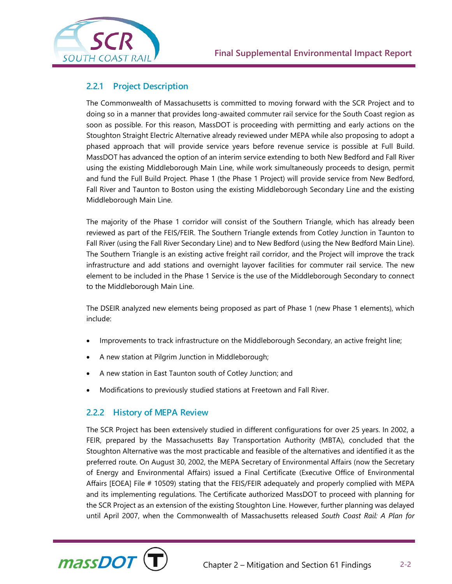

# **2.2.1 Project Description**

The Commonwealth of Massachusetts is committed to moving forward with the SCR Project and to doing so in a manner that provides long-awaited commuter rail service for the South Coast region as soon as possible. For this reason, MassDOT is proceeding with permitting and early actions on the Stoughton Straight Electric Alternative already reviewed under MEPA while also proposing to adopt a phased approach that will provide service years before revenue service is possible at Full Build. MassDOT has advanced the option of an interim service extending to both New Bedford and Fall River using the existing Middleborough Main Line, while work simultaneously proceeds to design, permit and fund the Full Build Project. Phase 1 (the Phase 1 Project) will provide service from New Bedford, Fall River and Taunton to Boston using the existing Middleborough Secondary Line and the existing Middleborough Main Line.

The majority of the Phase 1 corridor will consist of the Southern Triangle, which has already been reviewed as part of the FEIS/FEIR. The Southern Triangle extends from Cotley Junction in Taunton to Fall River (using the Fall River Secondary Line) and to New Bedford (using the New Bedford Main Line). The Southern Triangle is an existing active freight rail corridor, and the Project will improve the track infrastructure and add stations and overnight layover facilities for commuter rail service. The new element to be included in the Phase 1 Service is the use of the Middleborough Secondary to connect to the Middleborough Main Line.

The DSEIR analyzed new elements being proposed as part of Phase 1 (new Phase 1 elements), which include:

- Improvements to track infrastructure on the Middleborough Secondary, an active freight line;
- A new station at Pilgrim Junction in Middleborough;
- A new station in East Taunton south of Cotley Junction; and
- Modifications to previously studied stations at Freetown and Fall River.

### **2.2.2 History of MEPA Review**

The SCR Project has been extensively studied in different configurations for over 25 years. In 2002, a FEIR, prepared by the Massachusetts Bay Transportation Authority (MBTA), concluded that the Stoughton Alternative was the most practicable and feasible of the alternatives and identified it as the preferred route. On August 30, 2002, the MEPA Secretary of Environmental Affairs (now the Secretary of Energy and Environmental Affairs) issued a Final Certificate (Executive Office of Environmental Affairs [EOEA] File # 10509) stating that the FEIS/FEIR adequately and properly complied with MEPA and its implementing regulations. The Certificate authorized MassDOT to proceed with planning for the SCR Project as an extension of the existing Stoughton Line. However, further planning was delayed until April 2007, when the Commonwealth of Massachusetts released *South Coast Rail: A Plan for* 

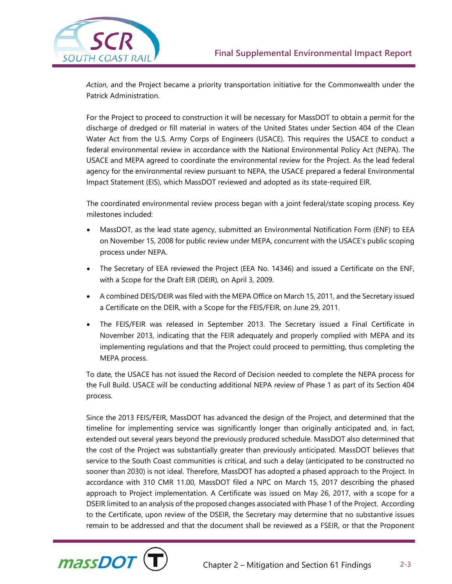

*Action*, and the Project became a priority transportation initiative for the Commonwealth under the Patrick Administration.

For the Project to proceed to construction it will be necessary for MassDOT to obtain a permit for the discharge of dredged or fill material in waters of the United States under Section 404 of the Clean Water Act from the U.S. Army Corps of Engineers (USACE). This requires the USACE to conduct a federal environmental review in accordance with the National Environmental Policy Act (NEPA). The USACE and MEPA agreed to coordinate the environmental review for the Project. As the lead federal agency for the environmental review pursuant to NEPA, the USACE prepared a federal Environmental Impact Statement (EIS), which MassDOT reviewed and adopted as its state-required EIR.

The coordinated environmental review process began with a joint federal/state scoping process. Key milestones included:

- MassDOT, as the lead state agency, submitted an Environmental Notification Form (ENF) to EEA on November 15, 2008 for public review under MEPA, concurrent with the USACE's public scoping process under NEPA.
- The Secretary of EEA reviewed the Project (EEA No. 14346) and issued a Certificate on the ENF, with a Scope for the Draft EIR (DEIR), on April 3, 2009.
- A combined DEIS/DEIR was filed with the MEPA Office on March 15, 2011, and the Secretary issued a Certificate on the DEIR, with a Scope for the FEIS/FEIR, on June 29, 2011.
- The FEIS/FEIR was released in September 2013. The Secretary issued a Final Certificate in November 2013, indicating that the FEIR adequately and properly complied with MEPA and its implementing regulations and that the Project could proceed to permitting, thus completing the MEPA process.

To date, the USACE has not issued the Record of Decision needed to complete the NEPA process for the Full Build. USACE will be conducting additional NEPA review of Phase 1 as part of its Section 404 process.

Since the 2013 FEIS/FEIR, MassDOT has advanced the design of the Project, and determined that the timeline for implementing service was significantly longer than originally anticipated and, in fact, extended out several years beyond the previously produced schedule. MassDOT also determined that the cost of the Project was substantially greater than previously anticipated. MassDOT believes that service to the South Coast communities is critical, and such a delay (anticipated to be constructed no sooner than 2030) is not ideal. Therefore, MassDOT has adopted a phased approach to the Project. In accordance with 310 CMR 11.00, MassDOT filed a NPC on March 15, 2017 describing the phased approach to Project implementation. A Certificate was issued on May 26, 2017, with a scope for a DSEIR limited to an analysis of the proposed changes associated with Phase 1 of the Project. According to the Certificate, upon review of the DSEIR, the Secretary may determine that no substantive issues remain to be addressed and that the document shall be reviewed as a FSEIR, or that the Proponent

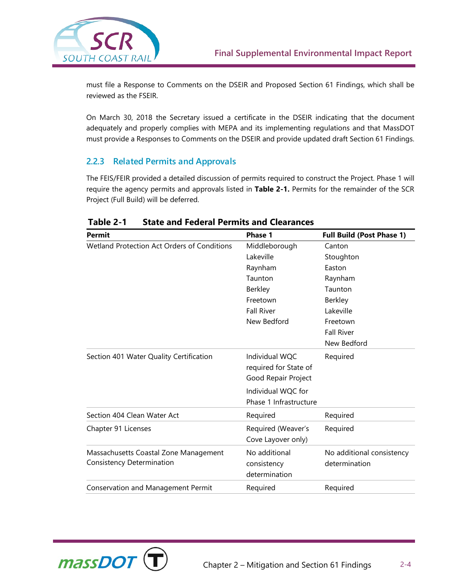

must file a Response to Comments on the DSEIR and Proposed Section 61 Findings, which shall be reviewed as the FSEIR.

On March 30, 2018 the Secretary issued a certificate in the DSEIR indicating that the document adequately and properly complies with MEPA and its implementing regulations and that MassDOT must provide a Responses to Comments on the DSEIR and provide updated draft Section 61 Findings.

# **2.2.3 Related Permits and Approvals**

The FEIS/FEIR provided a detailed discussion of permits required to construct the Project. Phase 1 will require the agency permits and approvals listed in **Table 2-1.** Permits for the remainder of the SCR Project (Full Build) will be deferred.

| <b>Permit</b>                                      | Phase 1                | <b>Full Build (Post Phase 1)</b> |
|----------------------------------------------------|------------------------|----------------------------------|
| <b>Wetland Protection Act Orders of Conditions</b> | Middleborough          | Canton                           |
|                                                    | Lakeville              | Stoughton                        |
|                                                    | Raynham                | Easton                           |
|                                                    | Taunton                | Raynham                          |
|                                                    | Berkley                | Taunton                          |
|                                                    | Freetown               | <b>Berkley</b>                   |
|                                                    | <b>Fall River</b>      | Lakeville                        |
|                                                    | New Bedford            | Freetown                         |
|                                                    |                        | <b>Fall River</b>                |
|                                                    |                        | New Bedford                      |
| Section 401 Water Quality Certification            | Individual WQC         | Required                         |
|                                                    | required for State of  |                                  |
|                                                    | Good Repair Project    |                                  |
|                                                    | Individual WQC for     |                                  |
|                                                    | Phase 1 Infrastructure |                                  |
| Section 404 Clean Water Act                        | Required               | Required                         |
| Chapter 91 Licenses                                | Required (Weaver's     | Required                         |
|                                                    | Cove Layover only)     |                                  |
| Massachusetts Coastal Zone Management              | No additional          | No additional consistency        |
| Consistency Determination                          | consistency            | determination                    |
|                                                    | determination          |                                  |
| Conservation and Management Permit                 | Required               | Required                         |

**Table 2-1 State and Federal Permits and Clearances**

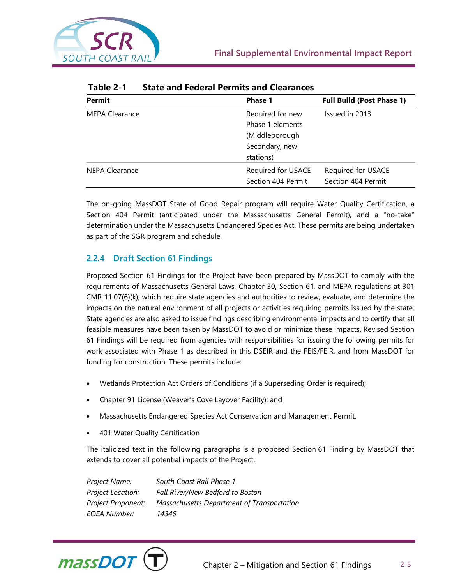

| <b>Permit</b>         | <b>Phase 1</b>                                                                        | <b>Full Build (Post Phase 1)</b>         |
|-----------------------|---------------------------------------------------------------------------------------|------------------------------------------|
| <b>MEPA Clearance</b> | Required for new<br>Phase 1 elements<br>(Middleborough<br>Secondary, new<br>stations) | Issued in 2013                           |
| <b>NEPA Clearance</b> | Required for USACE<br>Section 404 Permit                                              | Required for USACE<br>Section 404 Permit |

#### **Table 2-1 State and Federal Permits and Clearances**

The on-going MassDOT State of Good Repair program will require Water Quality Certification, a Section 404 Permit (anticipated under the Massachusetts General Permit), and a "no-take" determination under the Massachusetts Endangered Species Act. These permits are being undertaken as part of the SGR program and schedule.

# **2.2.4 Draft Section 61 Findings**

Proposed Section 61 Findings for the Project have been prepared by MassDOT to comply with the requirements of Massachusetts General Laws, Chapter 30, Section 61, and MEPA regulations at 301 CMR 11.07(6)(k), which require state agencies and authorities to review, evaluate, and determine the impacts on the natural environment of all projects or activities requiring permits issued by the state. State agencies are also asked to issue findings describing environmental impacts and to certify that all feasible measures have been taken by MassDOT to avoid or minimize these impacts. Revised Section 61 Findings will be required from agencies with responsibilities for issuing the following permits for work associated with Phase 1 as described in this DSEIR and the FEIS/FEIR, and from MassDOT for funding for construction. These permits include:

- Wetlands Protection Act Orders of Conditions (if a Superseding Order is required);
- Chapter 91 License (Weaver's Cove Layover Facility); and
- Massachusetts Endangered Species Act Conservation and Management Permit.
- 401 Water Quality Certification

The italicized text in the following paragraphs is a proposed Section 61 Finding by MassDOT that extends to cover all potential impacts of the Project.

*Project Name: South Coast Rail Phase 1 Project Location: Fall River/New Bedford to Boston Project Proponent: Massachusetts Department of Transportation EOEA Number: 14346*

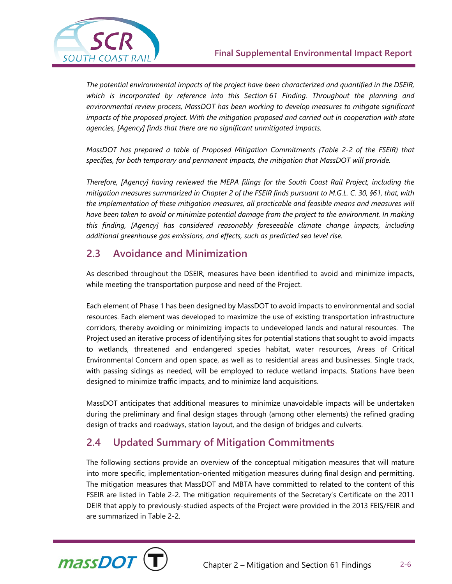

*The potential environmental impacts of the project have been characterized and quantified in the DSEIR, which is incorporated by reference into this Section 61 Finding. Throughout the planning and environmental review process, MassDOT has been working to develop measures to mitigate significant impacts of the proposed project. With the mitigation proposed and carried out in cooperation with state agencies, [Agency] finds that there are no significant unmitigated impacts.*

*MassDOT has prepared a table of Proposed Mitigation Commitments (Table 2-2 of the FSEIR) that specifies, for both temporary and permanent impacts, the mitigation that MassDOT will provide.*

*Therefore, [Agency] having reviewed the MEPA filings for the South Coast Rail Project, including the mitigation measures summarized in Chapter 2 of the FSEIR finds pursuant to M.G.L. C. 30, §61, that, with the implementation of these mitigation measures, all practicable and feasible means and measures will have been taken to avoid or minimize potential damage from the project to the environment. In making this finding, [Agency] has considered reasonably foreseeable climate change impacts, including additional greenhouse gas emissions, and effects, such as predicted sea level rise.*

# **2.3 Avoidance and Minimization**

As described throughout the DSEIR, measures have been identified to avoid and minimize impacts, while meeting the transportation purpose and need of the Project.

Each element of Phase 1 has been designed by MassDOT to avoid impacts to environmental and social resources. Each element was developed to maximize the use of existing transportation infrastructure corridors, thereby avoiding or minimizing impacts to undeveloped lands and natural resources. The Project used an iterative process of identifying sites for potential stations that sought to avoid impacts to wetlands, threatened and endangered species habitat, water resources, Areas of Critical Environmental Concern and open space, as well as to residential areas and businesses. Single track, with passing sidings as needed, will be employed to reduce wetland impacts. Stations have been designed to minimize traffic impacts, and to minimize land acquisitions.

MassDOT anticipates that additional measures to minimize unavoidable impacts will be undertaken during the preliminary and final design stages through (among other elements) the refined grading design of tracks and roadways, station layout, and the design of bridges and culverts.

# **2.4 Updated Summary of Mitigation Commitments**

The following sections provide an overview of the conceptual mitigation measures that will mature into more specific, implementation-oriented mitigation measures during final design and permitting. The mitigation measures that MassDOT and MBTA have committed to related to the content of this FSEIR are listed in Table 2-2. The mitigation requirements of the Secretary's Certificate on the 2011 DEIR that apply to previously-studied aspects of the Project were provided in the 2013 FEIS/FEIR and are summarized in Table 2-2.

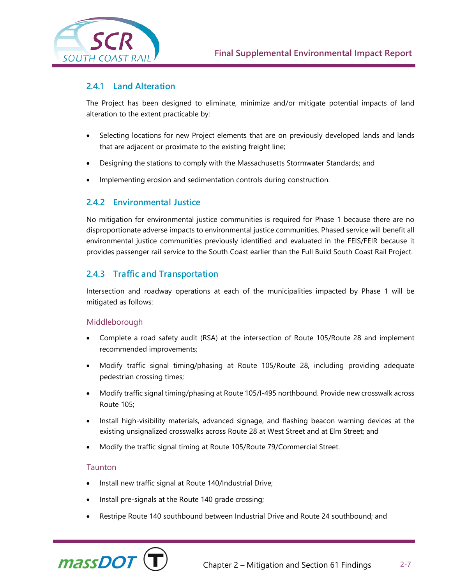

### **2.4.1 Land Alteration**

The Project has been designed to eliminate, minimize and/or mitigate potential impacts of land alteration to the extent practicable by:

- Selecting locations for new Project elements that are on previously developed lands and lands that are adjacent or proximate to the existing freight line;
- Designing the stations to comply with the Massachusetts Stormwater Standards; and
- Implementing erosion and sedimentation controls during construction.

## **2.4.2 Environmental Justice**

No mitigation for environmental justice communities is required for Phase 1 because there are no disproportionate adverse impacts to environmental justice communities. Phased service will benefit all environmental justice communities previously identified and evaluated in the FEIS/FEIR because it provides passenger rail service to the South Coast earlier than the Full Build South Coast Rail Project.

# **2.4.3 Traffic and Transportation**

Intersection and roadway operations at each of the municipalities impacted by Phase 1 will be mitigated as follows:

#### Middleborough

- Complete a road safety audit (RSA) at the intersection of Route 105/Route 28 and implement recommended improvements;
- Modify traffic signal timing/phasing at Route 105/Route 28, including providing adequate pedestrian crossing times;
- Modify traffic signal timing/phasing at Route 105/I-495 northbound. Provide new crosswalk across Route 105;
- Install high-visibility materials, advanced signage, and flashing beacon warning devices at the existing unsignalized crosswalks across Route 28 at West Street and at Elm Street; and
- Modify the traffic signal timing at Route 105/Route 79/Commercial Street.

#### **Taunton**

- Install new traffic signal at Route 140/Industrial Drive;
- Install pre-signals at the Route 140 grade crossing;
- Restripe Route 140 southbound between Industrial Drive and Route 24 southbound; and

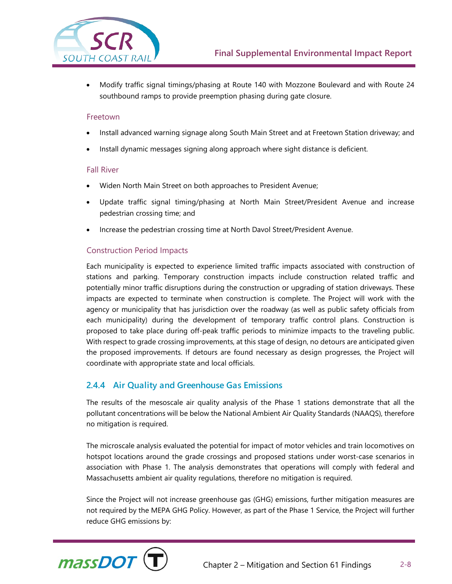

• Modify traffic signal timings/phasing at Route 140 with Mozzone Boulevard and with Route 24 southbound ramps to provide preemption phasing during gate closure.

#### Freetown

- Install advanced warning signage along South Main Street and at Freetown Station driveway; and
- Install dynamic messages signing along approach where sight distance is deficient.

#### Fall River

- Widen North Main Street on both approaches to President Avenue;
- Update traffic signal timing/phasing at North Main Street/President Avenue and increase pedestrian crossing time; and
- Increase the pedestrian crossing time at North Davol Street/President Avenue.

#### Construction Period Impacts

Each municipality is expected to experience limited traffic impacts associated with construction of stations and parking. Temporary construction impacts include construction related traffic and potentially minor traffic disruptions during the construction or upgrading of station driveways. These impacts are expected to terminate when construction is complete. The Project will work with the agency or municipality that has jurisdiction over the roadway (as well as public safety officials from each municipality) during the development of temporary traffic control plans. Construction is proposed to take place during off-peak traffic periods to minimize impacts to the traveling public. With respect to grade crossing improvements, at this stage of design, no detours are anticipated given the proposed improvements. If detours are found necessary as design progresses, the Project will coordinate with appropriate state and local officials.

### **2.4.4 Air Quality and Greenhouse Gas Emissions**

The results of the mesoscale air quality analysis of the Phase 1 stations demonstrate that all the pollutant concentrations will be below the National Ambient Air Quality Standards (NAAQS), therefore no mitigation is required.

The microscale analysis evaluated the potential for impact of motor vehicles and train locomotives on hotspot locations around the grade crossings and proposed stations under worst-case scenarios in association with Phase 1. The analysis demonstrates that operations will comply with federal and Massachusetts ambient air quality regulations, therefore no mitigation is required.

Since the Project will not increase greenhouse gas (GHG) emissions, further mitigation measures are not required by the MEPA GHG Policy. However, as part of the Phase 1 Service, the Project will further reduce GHG emissions by:

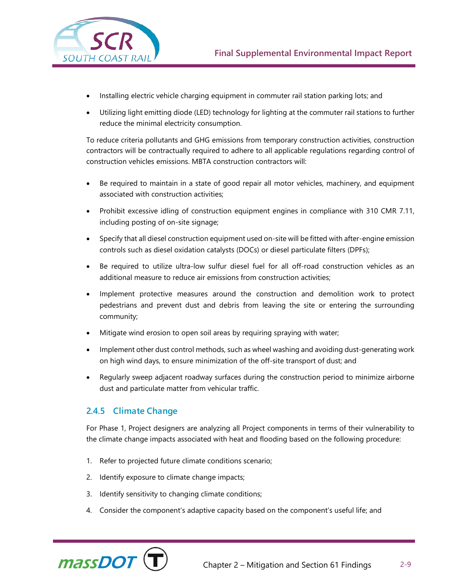

- Installing electric vehicle charging equipment in commuter rail station parking lots; and
- Utilizing light emitting diode (LED) technology for lighting at the commuter rail stations to further reduce the minimal electricity consumption.

To reduce criteria pollutants and GHG emissions from temporary construction activities, construction contractors will be contractually required to adhere to all applicable regulations regarding control of construction vehicles emissions. MBTA construction contractors will:

- Be required to maintain in a state of good repair all motor vehicles, machinery, and equipment associated with construction activities;
- Prohibit excessive idling of construction equipment engines in compliance with 310 CMR 7.11, including posting of on-site signage;
- Specify that all diesel construction equipment used on-site will be fitted with after-engine emission controls such as diesel oxidation catalysts (DOCs) or diesel particulate filters (DPFs);
- Be required to utilize ultra-low sulfur diesel fuel for all off-road construction vehicles as an additional measure to reduce air emissions from construction activities;
- Implement protective measures around the construction and demolition work to protect pedestrians and prevent dust and debris from leaving the site or entering the surrounding community;
- Mitigate wind erosion to open soil areas by requiring spraying with water;
- Implement other dust control methods, such as wheel washing and avoiding dust-generating work on high wind days, to ensure minimization of the off-site transport of dust; and
- Regularly sweep adjacent roadway surfaces during the construction period to minimize airborne dust and particulate matter from vehicular traffic.

# **2.4.5 Climate Change**

For Phase 1, Project designers are analyzing all Project components in terms of their vulnerability to the climate change impacts associated with heat and flooding based on the following procedure:

- 1. Refer to projected future climate conditions scenario;
- 2. Identify exposure to climate change impacts;
- 3. Identify sensitivity to changing climate conditions;
- 4. Consider the component's adaptive capacity based on the component's useful life; and

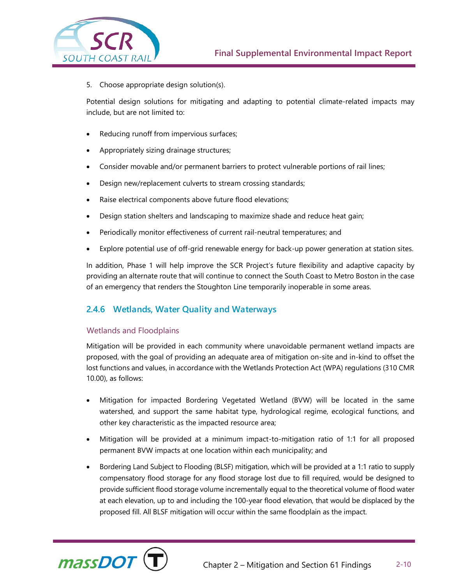

5. Choose appropriate design solution(s).

Potential design solutions for mitigating and adapting to potential climate-related impacts may include, but are not limited to:

- Reducing runoff from impervious surfaces;
- Appropriately sizing drainage structures;
- Consider movable and/or permanent barriers to protect vulnerable portions of rail lines;
- Design new/replacement culverts to stream crossing standards;
- Raise electrical components above future flood elevations;
- Design station shelters and landscaping to maximize shade and reduce heat gain;
- Periodically monitor effectiveness of current rail-neutral temperatures; and
- Explore potential use of off-grid renewable energy for back-up power generation at station sites.

In addition, Phase 1 will help improve the SCR Project's future flexibility and adaptive capacity by providing an alternate route that will continue to connect the South Coast to Metro Boston in the case of an emergency that renders the Stoughton Line temporarily inoperable in some areas.

# **2.4.6 Wetlands, Water Quality and Waterways**

#### Wetlands and Floodplains

Mitigation will be provided in each community where unavoidable permanent wetland impacts are proposed, with the goal of providing an adequate area of mitigation on-site and in-kind to offset the lost functions and values, in accordance with the Wetlands Protection Act (WPA) regulations (310 CMR 10.00), as follows:

- Mitigation for impacted Bordering Vegetated Wetland (BVW) will be located in the same watershed, and support the same habitat type, hydrological regime, ecological functions, and other key characteristic as the impacted resource area;
- Mitigation will be provided at a minimum impact-to-mitigation ratio of 1:1 for all proposed permanent BVW impacts at one location within each municipality; and
- Bordering Land Subject to Flooding (BLSF) mitigation, which will be provided at a 1:1 ratio to supply compensatory flood storage for any flood storage lost due to fill required, would be designed to provide sufficient flood storage volume incrementally equal to the theoretical volume of flood water at each elevation, up to and including the 100-year flood elevation, that would be displaced by the proposed fill. All BLSF mitigation will occur within the same floodplain as the impact.

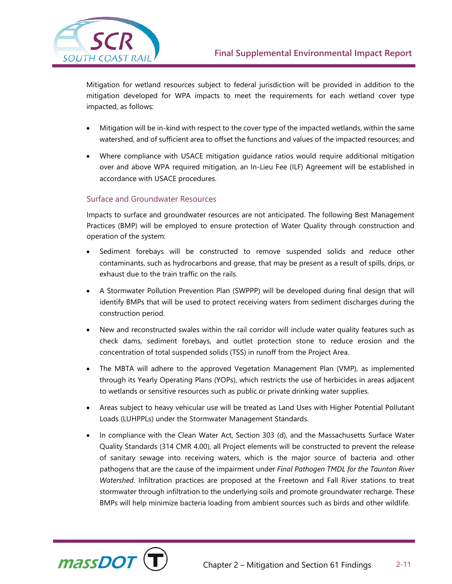

Mitigation for wetland resources subject to federal jurisdiction will be provided in addition to the mitigation developed for WPA impacts to meet the requirements for each wetland cover type impacted, as follows:

- Mitigation will be in-kind with respect to the cover type of the impacted wetlands, within the same watershed, and of sufficient area to offset the functions and values of the impacted resources; and
- Where compliance with USACE mitigation guidance ratios would require additional mitigation over and above WPA required mitigation, an In-Lieu Fee (ILF) Agreement will be established in accordance with USACE procedures.

#### Surface and Groundwater Resources

Impacts to surface and groundwater resources are not anticipated. The following Best Management Practices (BMP) will be employed to ensure protection of Water Quality through construction and operation of the system:

- Sediment forebays will be constructed to remove suspended solids and reduce other contaminants, such as hydrocarbons and grease, that may be present as a result of spills, drips, or exhaust due to the train traffic on the rails.
- A Stormwater Pollution Prevention Plan (SWPPP) will be developed during final design that will identify BMPs that will be used to protect receiving waters from sediment discharges during the construction period.
- New and reconstructed swales within the rail corridor will include water quality features such as check dams, sediment forebays, and outlet protection stone to reduce erosion and the concentration of total suspended solids (TSS) in runoff from the Project Area.
- The MBTA will adhere to the approved Vegetation Management Plan (VMP), as implemented through its Yearly Operating Plans (YOPs), which restricts the use of herbicides in areas adjacent to wetlands or sensitive resources such as public or private drinking water supplies.
- Areas subject to heavy vehicular use will be treated as Land Uses with Higher Potential Pollutant Loads (LUHPPLs) under the Stormwater Management Standards.
- In compliance with the Clean Water Act, Section 303 (d), and the Massachusetts Surface Water Quality Standards (314 CMR 4.00), all Project elements will be constructed to prevent the release of sanitary sewage into receiving waters, which is the major source of bacteria and other pathogens that are the cause of the impairment under *Final Pathogen TMDL for the Taunton River Watershed*. Infiltration practices are proposed at the Freetown and Fall River stations to treat stormwater through infiltration to the underlying soils and promote groundwater recharge. These BMPs will help minimize bacteria loading from ambient sources such as birds and other wildlife.

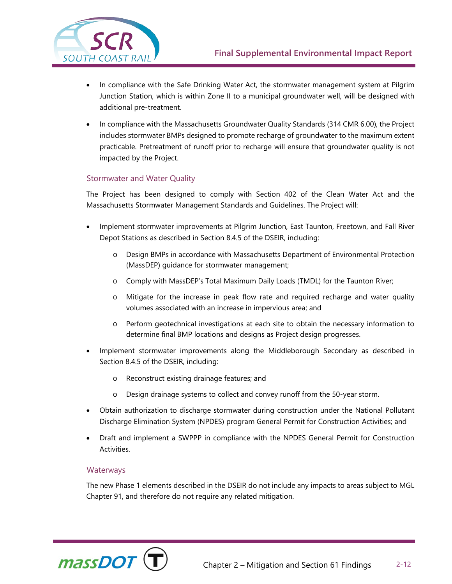

- In compliance with the Safe Drinking Water Act, the stormwater management system at Pilgrim Junction Station, which is within Zone II to a municipal groundwater well, will be designed with additional pre-treatment.
- In compliance with the Massachusetts Groundwater Quality Standards (314 CMR 6.00), the Project includes stormwater BMPs designed to promote recharge of groundwater to the maximum extent practicable. Pretreatment of runoff prior to recharge will ensure that groundwater quality is not impacted by the Project.

## Stormwater and Water Quality

The Project has been designed to comply with Section 402 of the Clean Water Act and the Massachusetts Stormwater Management Standards and Guidelines. The Project will:

- Implement stormwater improvements at Pilgrim Junction, East Taunton, Freetown, and Fall River Depot Stations as described in Section 8.4.5 of the DSEIR, including:
	- o Design BMPs in accordance with Massachusetts Department of Environmental Protection (MassDEP) guidance for stormwater management;
	- o Comply with MassDEP's Total Maximum Daily Loads (TMDL) for the Taunton River;
	- o Mitigate for the increase in peak flow rate and required recharge and water quality volumes associated with an increase in impervious area; and
	- o Perform geotechnical investigations at each site to obtain the necessary information to determine final BMP locations and designs as Project design progresses.
- Implement stormwater improvements along the Middleborough Secondary as described in Section 8.4.5 of the DSEIR, including:
	- o Reconstruct existing drainage features; and
	- o Design drainage systems to collect and convey runoff from the 50-year storm.
- Obtain authorization to discharge stormwater during construction under the National Pollutant Discharge Elimination System (NPDES) program General Permit for Construction Activities; and
- Draft and implement a SWPPP in compliance with the NPDES General Permit for Construction Activities.

#### **Waterways**

The new Phase 1 elements described in the DSEIR do not include any impacts to areas subject to MGL Chapter 91, and therefore do not require any related mitigation.

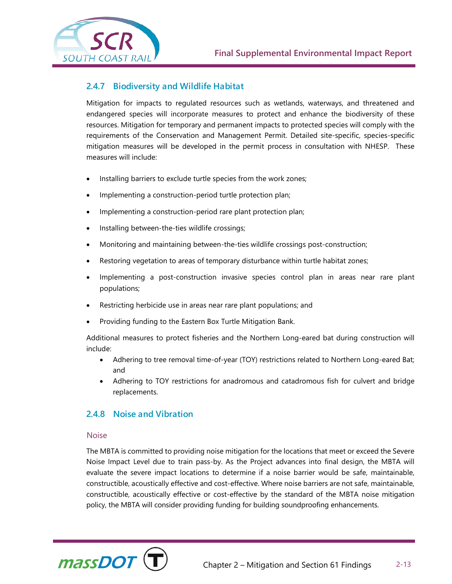

## **2.4.7 Biodiversity and Wildlife Habitat**

Mitigation for impacts to regulated resources such as wetlands, waterways, and threatened and endangered species will incorporate measures to protect and enhance the biodiversity of these resources. Mitigation for temporary and permanent impacts to protected species will comply with the requirements of the Conservation and Management Permit. Detailed site-specific, species-specific mitigation measures will be developed in the permit process in consultation with NHESP. These measures will include:

- Installing barriers to exclude turtle species from the work zones;
- Implementing a construction-period turtle protection plan;
- Implementing a construction-period rare plant protection plan;
- Installing between-the-ties wildlife crossings;
- Monitoring and maintaining between-the-ties wildlife crossings post-construction;
- Restoring vegetation to areas of temporary disturbance within turtle habitat zones;
- Implementing a post-construction invasive species control plan in areas near rare plant populations;
- Restricting herbicide use in areas near rare plant populations; and
- Providing funding to the Eastern Box Turtle Mitigation Bank.

Additional measures to protect fisheries and the Northern Long-eared bat during construction will include:

- Adhering to tree removal time-of-year (TOY) restrictions related to Northern Long-eared Bat; and
- Adhering to TOY restrictions for anadromous and catadromous fish for culvert and bridge replacements.

### **2.4.8 Noise and Vibration**

#### Noise

The MBTA is committed to providing noise mitigation for the locations that meet or exceed the Severe Noise Impact Level due to train pass-by. As the Project advances into final design, the MBTA will evaluate the severe impact locations to determine if a noise barrier would be safe, maintainable, constructible, acoustically effective and cost-effective. Where noise barriers are not safe, maintainable, constructible, acoustically effective or cost-effective by the standard of the MBTA noise mitigation policy, the MBTA will consider providing funding for building soundproofing enhancements.

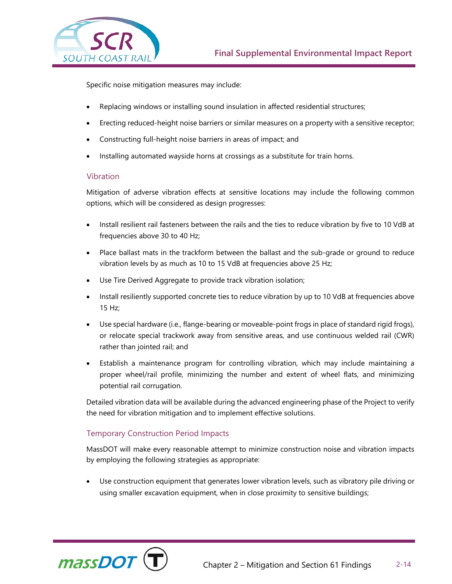

Specific noise mitigation measures may include:

- Replacing windows or installing sound insulation in affected residential structures;
- Erecting reduced-height noise barriers or similar measures on a property with a sensitive receptor;
- Constructing full-height noise barriers in areas of impact; and
- Installing automated wayside horns at crossings as a substitute for train horns.

#### Vibration

Mitigation of adverse vibration effects at sensitive locations may include the following common options, which will be considered as design progresses:

- Install resilient rail fasteners between the rails and the ties to reduce vibration by five to 10 VdB at frequencies above 30 to 40 Hz;
- Place ballast mats in the trackform between the ballast and the sub-grade or ground to reduce vibration levels by as much as 10 to 15 VdB at frequencies above 25 Hz;
- Use Tire Derived Aggregate to provide track vibration isolation;
- Install resiliently supported concrete ties to reduce vibration by up to 10 VdB at frequencies above 15 Hz;
- Use special hardware (i.e., flange-bearing or moveable-point frogs in place of standard rigid frogs), or relocate special trackwork away from sensitive areas, and use continuous welded rail (CWR) rather than jointed rail; and
- Establish a maintenance program for controlling vibration, which may include maintaining a proper wheel/rail profile, minimizing the number and extent of wheel flats, and minimizing potential rail corrugation.

Detailed vibration data will be available during the advanced engineering phase of the Project to verify the need for vibration mitigation and to implement effective solutions.

### Temporary Construction Period Impacts

MassDOT will make every reasonable attempt to minimize construction noise and vibration impacts by employing the following strategies as appropriate:

Use construction equipment that generates lower vibration levels, such as vibratory pile driving or using smaller excavation equipment, when in close proximity to sensitive buildings;

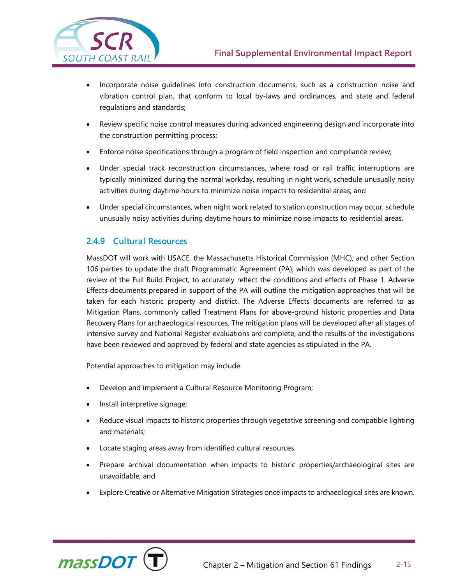

- Incorporate noise guidelines into construction documents, such as a construction noise and vibration control plan, that conform to local by-laws and ordinances, and state and federal regulations and standards;
- Review specific noise control measures during advanced engineering design and incorporate into the construction permitting process;
- Enforce noise specifications through a program of field inspection and compliance review;
- Under special track reconstruction circumstances, where road or rail traffic interruptions are typically minimized during the normal workday, resulting in night work, schedule unusually noisy activities during daytime hours to minimize noise impacts to residential areas; and
- Under special circumstances, when night work related to station construction may occur, schedule unusually noisy activities during daytime hours to minimize noise impacts to residential areas.

# **2.4.9 Cultural Resources**

MassDOT will work with USACE, the Massachusetts Historical Commission (MHC), and other Section 106 parties to update the draft Programmatic Agreement (PA), which was developed as part of the review of the Full Build Project, to accurately reflect the conditions and effects of Phase 1. Adverse Effects documents prepared in support of the PA will outline the mitigation approaches that will be taken for each historic property and district. The Adverse Effects documents are referred to as Mitigation Plans, commonly called Treatment Plans for above-ground historic properties and Data Recovery Plans for archaeological resources. The mitigation plans will be developed after all stages of intensive survey and National Register evaluations are complete, and the results of the investigations have been reviewed and approved by federal and state agencies as stipulated in the PA.

Potential approaches to mitigation may include:

- Develop and implement a Cultural Resource Monitoring Program;
- Install interpretive signage;
- Reduce visual impacts to historic properties through vegetative screening and compatible lighting and materials;
- Locate staging areas away from identified cultural resources.
- Prepare archival documentation when impacts to historic properties/archaeological sites are unavoidable; and
- Explore Creative or Alternative Mitigation Strategies once impacts to archaeological sites are known.

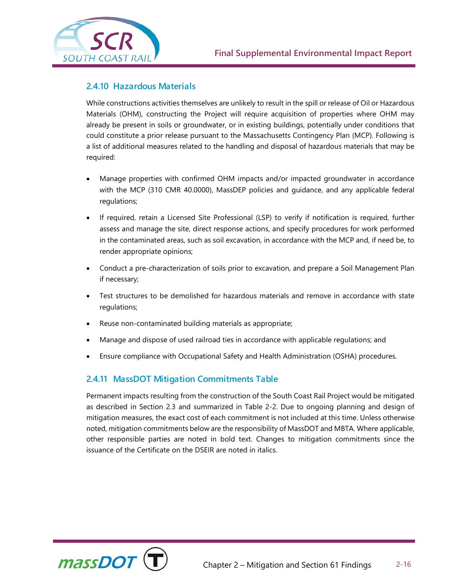



# **2.4.10 Hazardous Materials**

While constructions activities themselves are unlikely to result in the spill or release of Oil or Hazardous Materials (OHM), constructing the Project will require acquisition of properties where OHM may already be present in soils or groundwater, or in existing buildings, potentially under conditions that could constitute a prior release pursuant to the Massachusetts Contingency Plan (MCP). Following is a list of additional measures related to the handling and disposal of hazardous materials that may be required:

- Manage properties with confirmed OHM impacts and/or impacted groundwater in accordance with the MCP (310 CMR 40.0000), MassDEP policies and guidance, and any applicable federal regulations;
- If required, retain a Licensed Site Professional (LSP) to verify if notification is required, further assess and manage the site, direct response actions, and specify procedures for work performed in the contaminated areas, such as soil excavation, in accordance with the MCP and, if need be, to render appropriate opinions;
- Conduct a pre-characterization of soils prior to excavation, and prepare a Soil Management Plan if necessary;
- Test structures to be demolished for hazardous materials and remove in accordance with state regulations;
- Reuse non-contaminated building materials as appropriate;
- Manage and dispose of used railroad ties in accordance with applicable regulations; and
- Ensure compliance with Occupational Safety and Health Administration (OSHA) procedures.

# **2.4.11 MassDOT Mitigation Commitments Table**

Permanent impacts resulting from the construction of the South Coast Rail Project would be mitigated as described in Section 2.3 and summarized in Table 2-2. Due to ongoing planning and design of mitigation measures, the exact cost of each commitment is not included at this time. Unless otherwise noted, mitigation commitments below are the responsibility of MassDOT and MBTA. Where applicable, other responsible parties are noted in bold text. Changes to mitigation commitments since the issuance of the Certificate on the DSEIR are noted in italics.

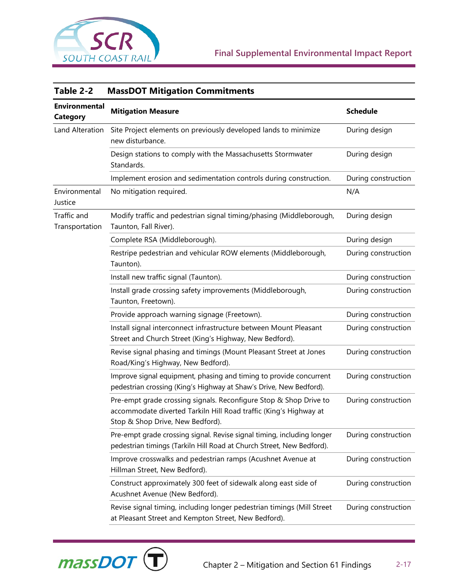

| Table 2-2                               | <b>MassDOT Mitigation Commitments</b>                                                                                                                                      |                     |
|-----------------------------------------|----------------------------------------------------------------------------------------------------------------------------------------------------------------------------|---------------------|
| <b>Environmental</b><br><b>Category</b> | <b>Mitigation Measure</b>                                                                                                                                                  | <b>Schedule</b>     |
| Land Alteration                         | Site Project elements on previously developed lands to minimize<br>new disturbance.                                                                                        | During design       |
|                                         | Design stations to comply with the Massachusetts Stormwater<br>Standards.                                                                                                  | During design       |
|                                         | Implement erosion and sedimentation controls during construction.                                                                                                          | During construction |
| Environmental<br>Justice                | No mitigation required.                                                                                                                                                    | N/A                 |
| Traffic and<br>Transportation           | Modify traffic and pedestrian signal timing/phasing (Middleborough,<br>Taunton, Fall River).                                                                               | During design       |
|                                         | Complete RSA (Middleborough).                                                                                                                                              | During design       |
|                                         | Restripe pedestrian and vehicular ROW elements (Middleborough,<br>Taunton).                                                                                                | During construction |
|                                         | Install new traffic signal (Taunton).                                                                                                                                      | During construction |
|                                         | Install grade crossing safety improvements (Middleborough,<br>Taunton, Freetown).                                                                                          | During construction |
|                                         | Provide approach warning signage (Freetown).                                                                                                                               | During construction |
|                                         | Install signal interconnect infrastructure between Mount Pleasant<br>Street and Church Street (King's Highway, New Bedford).                                               | During construction |
|                                         | Revise signal phasing and timings (Mount Pleasant Street at Jones<br>Road/King's Highway, New Bedford).                                                                    | During construction |
|                                         | Improve signal equipment, phasing and timing to provide concurrent<br>pedestrian crossing (King's Highway at Shaw's Drive, New Bedford).                                   | During construction |
|                                         | Pre-empt grade crossing signals. Reconfigure Stop & Shop Drive to<br>accommodate diverted Tarkiln Hill Road traffic (King's Highway at<br>Stop & Shop Drive, New Bedford). | During construction |
|                                         | Pre-empt grade crossing signal. Revise signal timing, including longer<br>pedestrian timings (Tarkiln Hill Road at Church Street, New Bedford).                            | During construction |
|                                         | Improve crosswalks and pedestrian ramps (Acushnet Avenue at<br>Hillman Street, New Bedford).                                                                               | During construction |
|                                         | Construct approximately 300 feet of sidewalk along east side of<br>Acushnet Avenue (New Bedford).                                                                          | During construction |
|                                         | Revise signal timing, including longer pedestrian timings (Mill Street<br>at Pleasant Street and Kempton Street, New Bedford).                                             | During construction |

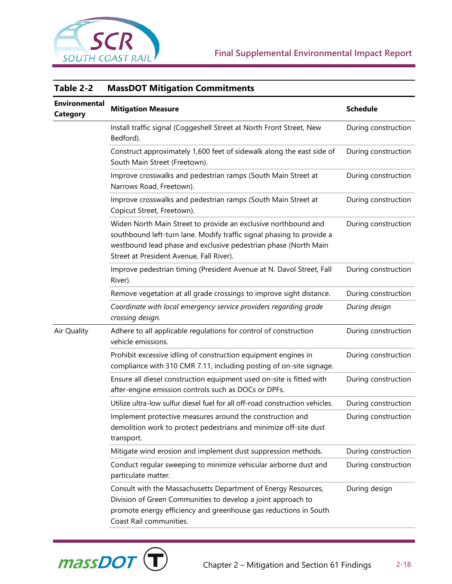

| TADIE Z-Z                               | <b>MASSDOT MILIGALION COMMUNICITIES</b>                                                                                                                                                                                                                |                     |  |
|-----------------------------------------|--------------------------------------------------------------------------------------------------------------------------------------------------------------------------------------------------------------------------------------------------------|---------------------|--|
| <b>Environmental</b><br><b>Category</b> | <b>Mitigation Measure</b>                                                                                                                                                                                                                              | <b>Schedule</b>     |  |
|                                         | Install traffic signal (Coggeshell Street at North Front Street, New<br>Bedford).                                                                                                                                                                      | During construction |  |
|                                         | Construct approximately 1,600 feet of sidewalk along the east side of<br>South Main Street (Freetown).                                                                                                                                                 | During construction |  |
|                                         | Improve crosswalks and pedestrian ramps (South Main Street at<br>Narrows Road, Freetown).                                                                                                                                                              | During construction |  |
|                                         | Improve crosswalks and pedestrian ramps (South Main Street at<br>Copicut Street, Freetown).                                                                                                                                                            | During construction |  |
|                                         | Widen North Main Street to provide an exclusive northbound and<br>southbound left-turn lane. Modify traffic signal phasing to provide a<br>westbound lead phase and exclusive pedestrian phase (North Main<br>Street at President Avenue, Fall River). | During construction |  |
|                                         | Improve pedestrian timing (President Avenue at N. Davol Street, Fall<br>River).                                                                                                                                                                        | During construction |  |
|                                         | Remove vegetation at all grade crossings to improve sight distance.                                                                                                                                                                                    | During construction |  |
|                                         | Coordinate with local emergency service providers regarding grade<br>crossing design.                                                                                                                                                                  | During design       |  |
| Air Quality                             | Adhere to all applicable regulations for control of construction<br>vehicle emissions.                                                                                                                                                                 | During construction |  |
|                                         | Prohibit excessive idling of construction equipment engines in<br>compliance with 310 CMR 7.11, including posting of on-site signage.                                                                                                                  | During construction |  |
|                                         | Ensure all diesel construction equipment used on-site is fitted with<br>after-engine emission controls such as DOCs or DPFs.                                                                                                                           | During construction |  |
|                                         | Utilize ultra-low sulfur diesel fuel for all off-road construction vehicles.                                                                                                                                                                           | During construction |  |
|                                         | Implement protective measures around the construction and<br>demolition work to protect pedestrians and minimize off-site dust<br>transport.                                                                                                           | During construction |  |
|                                         | Mitigate wind erosion and implement dust suppression methods.                                                                                                                                                                                          | During construction |  |
|                                         | Conduct regular sweeping to minimize vehicular airborne dust and<br>particulate matter.                                                                                                                                                                | During construction |  |
|                                         | Consult with the Massachusetts Department of Energy Resources,<br>Division of Green Communities to develop a joint approach to<br>promote energy efficiency and greenhouse gas reductions in South<br>Coast Rail communities.                          | During design       |  |



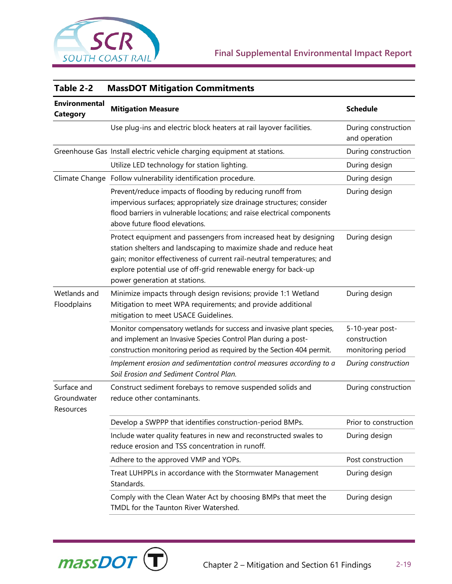

| Table 2-2                               | <b>MassDOT Mitigation Commitments</b>                                                                                                                                                                                                                                                                               |                                                      |
|-----------------------------------------|---------------------------------------------------------------------------------------------------------------------------------------------------------------------------------------------------------------------------------------------------------------------------------------------------------------------|------------------------------------------------------|
| <b>Environmental</b><br><b>Category</b> | <b>Mitigation Measure</b>                                                                                                                                                                                                                                                                                           | <b>Schedule</b>                                      |
|                                         | Use plug-ins and electric block heaters at rail layover facilities.                                                                                                                                                                                                                                                 | During construction<br>and operation                 |
|                                         | Greenhouse Gas Install electric vehicle charging equipment at stations.                                                                                                                                                                                                                                             | During construction                                  |
|                                         | Utilize LED technology for station lighting.                                                                                                                                                                                                                                                                        | During design                                        |
|                                         | Climate Change Follow vulnerability identification procedure.                                                                                                                                                                                                                                                       | During design                                        |
|                                         | Prevent/reduce impacts of flooding by reducing runoff from<br>impervious surfaces; appropriately size drainage structures; consider<br>flood barriers in vulnerable locations; and raise electrical components<br>above future flood elevations.                                                                    | During design                                        |
|                                         | Protect equipment and passengers from increased heat by designing<br>station shelters and landscaping to maximize shade and reduce heat<br>gain; monitor effectiveness of current rail-neutral temperatures; and<br>explore potential use of off-grid renewable energy for back-up<br>power generation at stations. | During design                                        |
| Wetlands and<br>Floodplains             | Minimize impacts through design revisions; provide 1:1 Wetland<br>Mitigation to meet WPA requirements; and provide additional<br>mitigation to meet USACE Guidelines.                                                                                                                                               | During design                                        |
|                                         | Monitor compensatory wetlands for success and invasive plant species,<br>and implement an Invasive Species Control Plan during a post-<br>construction monitoring period as required by the Section 404 permit.                                                                                                     | 5-10-year post-<br>construction<br>monitoring period |
|                                         | Implement erosion and sedimentation control measures according to a<br>Soil Erosion and Sediment Control Plan.                                                                                                                                                                                                      | During construction                                  |
| Surface and<br>Groundwater<br>Resources | Construct sediment forebays to remove suspended solids and<br>reduce other contaminants.                                                                                                                                                                                                                            | During construction                                  |
|                                         | Develop a SWPPP that identifies construction-period BMPs.                                                                                                                                                                                                                                                           | Prior to construction                                |
|                                         | Include water quality features in new and reconstructed swales to<br>reduce erosion and TSS concentration in runoff.                                                                                                                                                                                                | During design                                        |
|                                         | Adhere to the approved VMP and YOPs.                                                                                                                                                                                                                                                                                | Post construction                                    |
|                                         | Treat LUHPPLs in accordance with the Stormwater Management<br>Standards.                                                                                                                                                                                                                                            | During design                                        |
|                                         | Comply with the Clean Water Act by choosing BMPs that meet the<br>TMDL for the Taunton River Watershed.                                                                                                                                                                                                             | During design                                        |

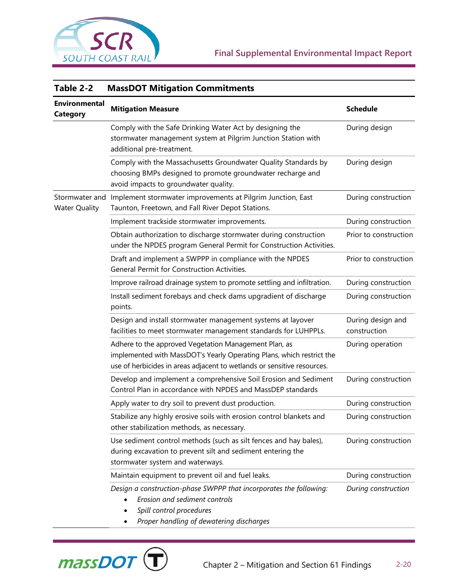

massDO

| Table 2-2                               | <b>MassDOT Mitigation Commitments</b>                                                                                                                                                                     |                                   |  |
|-----------------------------------------|-----------------------------------------------------------------------------------------------------------------------------------------------------------------------------------------------------------|-----------------------------------|--|
| <b>Environmental</b><br><b>Category</b> | <b>Mitigation Measure</b>                                                                                                                                                                                 | <b>Schedule</b>                   |  |
|                                         | Comply with the Safe Drinking Water Act by designing the<br>stormwater management system at Pilgrim Junction Station with<br>additional pre-treatment.                                                    | During design                     |  |
|                                         | Comply with the Massachusetts Groundwater Quality Standards by<br>choosing BMPs designed to promote groundwater recharge and<br>avoid impacts to groundwater quality.                                     | During design                     |  |
| Stormwater and<br><b>Water Quality</b>  | Implement stormwater improvements at Pilgrim Junction, East<br>Taunton, Freetown, and Fall River Depot Stations.                                                                                          | During construction               |  |
|                                         | Implement trackside stormwater improvements.                                                                                                                                                              | During construction               |  |
|                                         | Obtain authorization to discharge stormwater during construction<br>under the NPDES program General Permit for Construction Activities.                                                                   | Prior to construction             |  |
|                                         | Draft and implement a SWPPP in compliance with the NPDES<br>General Permit for Construction Activities.                                                                                                   | Prior to construction             |  |
|                                         | Improve railroad drainage system to promote settling and infiltration.                                                                                                                                    | During construction               |  |
|                                         | Install sediment forebays and check dams upgradient of discharge<br>points.                                                                                                                               | During construction               |  |
|                                         | Design and install stormwater management systems at layover<br>facilities to meet stormwater management standards for LUHPPLs.                                                                            | During design and<br>construction |  |
|                                         | Adhere to the approved Vegetation Management Plan, as<br>implemented with MassDOT's Yearly Operating Plans, which restrict the<br>use of herbicides in areas adjacent to wetlands or sensitive resources. | During operation                  |  |
|                                         | Develop and implement a comprehensive Soil Erosion and Sediment<br>Control Plan in accordance with NPDES and MassDEP standards                                                                            | During construction               |  |
|                                         | Apply water to dry soil to prevent dust production.                                                                                                                                                       | During construction               |  |
|                                         | Stabilize any highly erosive soils with erosion control blankets and<br>other stabilization methods, as necessary.                                                                                        | During construction               |  |
|                                         | Use sediment control methods (such as silt fences and hay bales),<br>during excavation to prevent silt and sediment entering the<br>stormwater system and waterways.                                      | During construction               |  |
|                                         | Maintain equipment to prevent oil and fuel leaks.                                                                                                                                                         | During construction               |  |
|                                         | Design a construction-phase SWPPP that incorporates the following:<br>Erosion and sediment controls<br>Spill control procedures<br>Proper handling of dewatering discharges                               | During construction               |  |

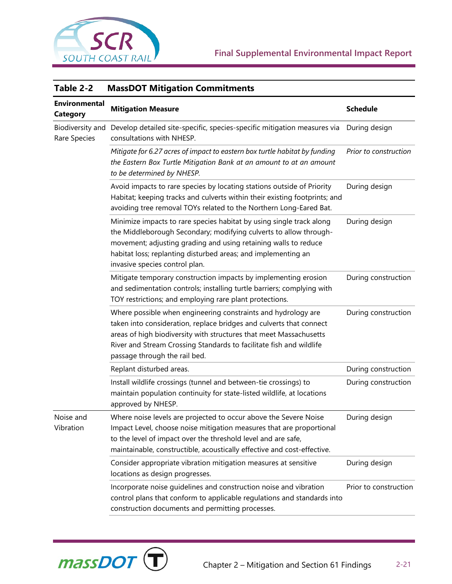

| Table 2-2                               | <b>MassDOT Mitigation Commitments</b>                                                                                                                                                                                                                                                                              |                       |  |
|-----------------------------------------|--------------------------------------------------------------------------------------------------------------------------------------------------------------------------------------------------------------------------------------------------------------------------------------------------------------------|-----------------------|--|
| <b>Environmental</b><br><b>Category</b> | <b>Mitigation Measure</b>                                                                                                                                                                                                                                                                                          | <b>Schedule</b>       |  |
| Biodiversity and<br>Rare Species        | Develop detailed site-specific, species-specific mitigation measures via<br>consultations with NHESP.                                                                                                                                                                                                              | During design         |  |
|                                         | Mitigate for 6.27 acres of impact to eastern box turtle habitat by funding<br>the Eastern Box Turtle Mitigation Bank at an amount to at an amount<br>to be determined by NHESP.                                                                                                                                    | Prior to construction |  |
|                                         | Avoid impacts to rare species by locating stations outside of Priority<br>Habitat; keeping tracks and culverts within their existing footprints; and<br>avoiding tree removal TOYs related to the Northern Long-Eared Bat.                                                                                         | During design         |  |
|                                         | Minimize impacts to rare species habitat by using single track along<br>the Middleborough Secondary; modifying culverts to allow through-<br>movement; adjusting grading and using retaining walls to reduce<br>habitat loss; replanting disturbed areas; and implementing an<br>invasive species control plan.    | During design         |  |
|                                         | Mitigate temporary construction impacts by implementing erosion<br>and sedimentation controls; installing turtle barriers; complying with<br>TOY restrictions; and employing rare plant protections.                                                                                                               | During construction   |  |
|                                         | Where possible when engineering constraints and hydrology are<br>taken into consideration, replace bridges and culverts that connect<br>areas of high biodiversity with structures that meet Massachusetts<br>River and Stream Crossing Standards to facilitate fish and wildlife<br>passage through the rail bed. | During construction   |  |
|                                         | Replant disturbed areas.                                                                                                                                                                                                                                                                                           | During construction   |  |
|                                         | Install wildlife crossings (tunnel and between-tie crossings) to<br>maintain population continuity for state-listed wildlife, at locations<br>approved by NHESP.                                                                                                                                                   | During construction   |  |
| Noise and<br>Vibration                  | Where noise levels are projected to occur above the Severe Noise<br>Impact Level, choose noise mitigation measures that are proportional<br>to the level of impact over the threshold level and are safe,<br>maintainable, constructible, acoustically effective and cost-effective.                               | During design         |  |
|                                         | Consider appropriate vibration mitigation measures at sensitive<br>locations as design progresses.                                                                                                                                                                                                                 | During design         |  |
|                                         | Incorporate noise guidelines and construction noise and vibration<br>control plans that conform to applicable regulations and standards into<br>construction documents and permitting processes.                                                                                                                   | Prior to construction |  |

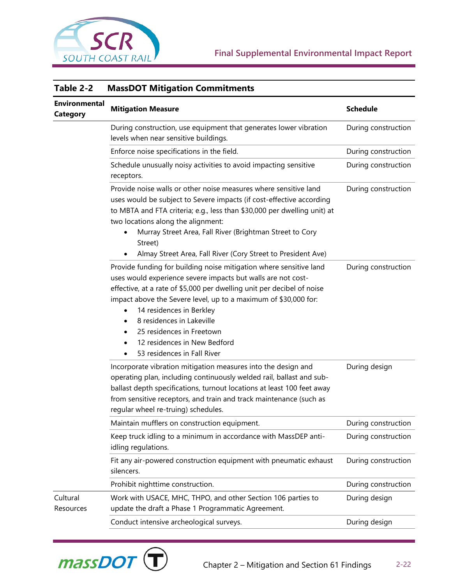

| Table 2-2                               | <b>MassDOT Mitigation Commitments</b>                                                                                                                                                                                                                                                                                                                                                                                                                                       |                     |  |
|-----------------------------------------|-----------------------------------------------------------------------------------------------------------------------------------------------------------------------------------------------------------------------------------------------------------------------------------------------------------------------------------------------------------------------------------------------------------------------------------------------------------------------------|---------------------|--|
| <b>Environmental</b><br><b>Category</b> | <b>Mitigation Measure</b>                                                                                                                                                                                                                                                                                                                                                                                                                                                   | <b>Schedule</b>     |  |
|                                         | During construction, use equipment that generates lower vibration<br>levels when near sensitive buildings.                                                                                                                                                                                                                                                                                                                                                                  | During construction |  |
|                                         | Enforce noise specifications in the field.                                                                                                                                                                                                                                                                                                                                                                                                                                  | During construction |  |
|                                         | Schedule unusually noisy activities to avoid impacting sensitive<br>receptors.                                                                                                                                                                                                                                                                                                                                                                                              | During construction |  |
|                                         | Provide noise walls or other noise measures where sensitive land<br>uses would be subject to Severe impacts (if cost-effective according<br>to MBTA and FTA criteria; e.g., less than \$30,000 per dwelling unit) at<br>two locations along the alignment:<br>Murray Street Area, Fall River (Brightman Street to Cory<br>Street)<br>Almay Street Area, Fall River (Cory Street to President Ave)                                                                           | During construction |  |
|                                         | Provide funding for building noise mitigation where sensitive land<br>uses would experience severe impacts but walls are not cost-<br>effective, at a rate of \$5,000 per dwelling unit per decibel of noise<br>impact above the Severe level, up to a maximum of \$30,000 for:<br>14 residences in Berkley<br>8 residences in Lakeville<br>$\bullet$<br>25 residences in Freetown<br>$\bullet$<br>12 residences in New Bedford<br>$\bullet$<br>53 residences in Fall River | During construction |  |
|                                         | Incorporate vibration mitigation measures into the design and<br>operating plan, including continuously welded rail, ballast and sub-<br>ballast depth specifications, turnout locations at least 100 feet away<br>from sensitive receptors, and train and track maintenance (such as<br>regular wheel re-truing) schedules.                                                                                                                                                | During design       |  |
|                                         | Maintain mufflers on construction equipment.                                                                                                                                                                                                                                                                                                                                                                                                                                | During construction |  |
|                                         | Keep truck idling to a minimum in accordance with MassDEP anti-<br>idling regulations.                                                                                                                                                                                                                                                                                                                                                                                      | During construction |  |
|                                         | Fit any air-powered construction equipment with pneumatic exhaust<br>silencers.                                                                                                                                                                                                                                                                                                                                                                                             | During construction |  |
|                                         | Prohibit nighttime construction.                                                                                                                                                                                                                                                                                                                                                                                                                                            | During construction |  |
| Cultural<br>Resources                   | Work with USACE, MHC, THPO, and other Section 106 parties to<br>update the draft a Phase 1 Programmatic Agreement.                                                                                                                                                                                                                                                                                                                                                          | During design       |  |
|                                         | Conduct intensive archeological surveys.                                                                                                                                                                                                                                                                                                                                                                                                                                    | During design       |  |

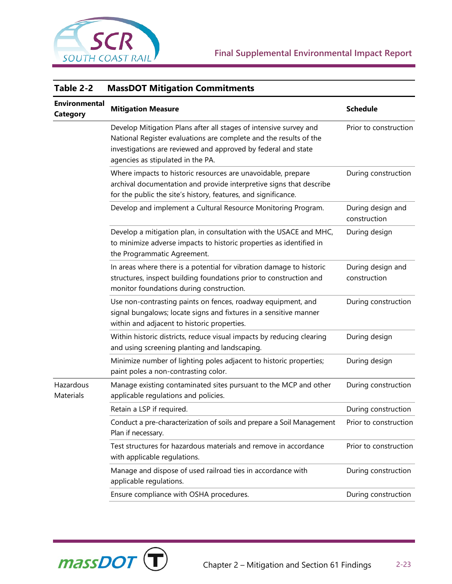

| Table 2-2                               | <b>MassDOT Mitigation Commitments</b>                                                                                                                                                                                                        |                                   |  |
|-----------------------------------------|----------------------------------------------------------------------------------------------------------------------------------------------------------------------------------------------------------------------------------------------|-----------------------------------|--|
| <b>Environmental</b><br><b>Category</b> | <b>Mitigation Measure</b>                                                                                                                                                                                                                    | <b>Schedule</b>                   |  |
|                                         | Develop Mitigation Plans after all stages of intensive survey and<br>National Register evaluations are complete and the results of the<br>investigations are reviewed and approved by federal and state<br>agencies as stipulated in the PA. | Prior to construction             |  |
|                                         | Where impacts to historic resources are unavoidable, prepare<br>archival documentation and provide interpretive signs that describe<br>for the public the site's history, features, and significance.                                        | During construction               |  |
|                                         | Develop and implement a Cultural Resource Monitoring Program.                                                                                                                                                                                | During design and<br>construction |  |
|                                         | Develop a mitigation plan, in consultation with the USACE and MHC,<br>to minimize adverse impacts to historic properties as identified in<br>the Programmatic Agreement.                                                                     | During design                     |  |
|                                         | In areas where there is a potential for vibration damage to historic<br>structures, inspect building foundations prior to construction and<br>monitor foundations during construction.                                                       | During design and<br>construction |  |
|                                         | Use non-contrasting paints on fences, roadway equipment, and<br>signal bungalows; locate signs and fixtures in a sensitive manner<br>within and adjacent to historic properties.                                                             | During construction               |  |
|                                         | Within historic districts, reduce visual impacts by reducing clearing<br>and using screening planting and landscaping.                                                                                                                       | During design                     |  |
|                                         | Minimize number of lighting poles adjacent to historic properties;<br>paint poles a non-contrasting color.                                                                                                                                   | During design                     |  |
| Hazardous<br>Materials                  | Manage existing contaminated sites pursuant to the MCP and other<br>applicable regulations and policies.                                                                                                                                     | During construction               |  |
|                                         | Retain a LSP if required.                                                                                                                                                                                                                    | During construction               |  |
|                                         | Conduct a pre-characterization of soils and prepare a Soil Management<br>Plan if necessary.                                                                                                                                                  | Prior to construction             |  |
|                                         | Test structures for hazardous materials and remove in accordance<br>with applicable regulations.                                                                                                                                             | Prior to construction             |  |
|                                         | Manage and dispose of used railroad ties in accordance with<br>applicable regulations.                                                                                                                                                       | During construction               |  |
|                                         | Ensure compliance with OSHA procedures.                                                                                                                                                                                                      | During construction               |  |